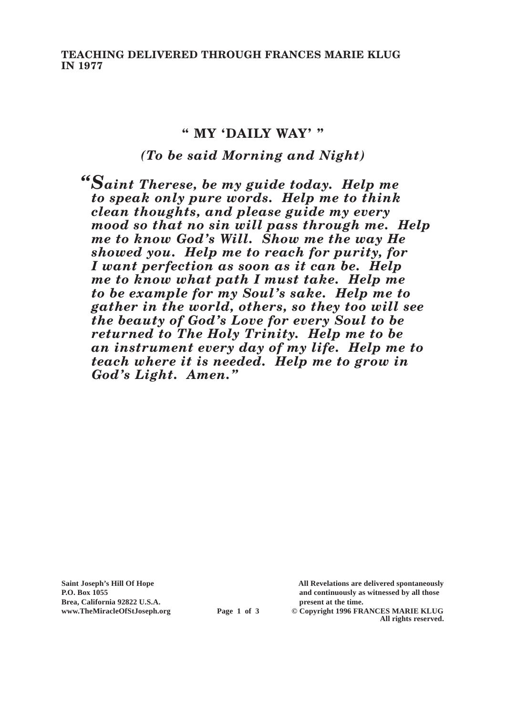**TEACHING DELIVERED THROUGH FRANCES MARIE KLUG IN 1977**

#### **" MY 'DAILY WAY' "**

## *(To be said Morning and Night)*

*"Saint Therese, be my guide today. Help me to speak only pure words. Help me to think clean thoughts, and please guide my every mood so that no sin will pass through me. Help me to know God's Will. Show me the way He showed you. Help me to reach for purity, for I want perfection as soon as it can be. Help me to know what path I must take. Help me to be example for my Soul's sake. Help me to gather in the world, others, so they too will see the beauty of God's Love for every Soul to be returned to The Holy Trinity. Help me to be an instrument every day of my life. Help me to teach where it is needed. Help me to grow in God's Light. Amen."*

**Brea, California 92822 U.S.A. present at the time.**

**Saint Joseph's Hill Of Hope All Revelations are delivered spontaneously P.O. Box 1055 and continuously as witnessed by all those** 

**www.TheMiracleOfStJoseph.org Page 1 of 3 © Copyright 1996 FRANCES MARIE KLUG All rights reserved.**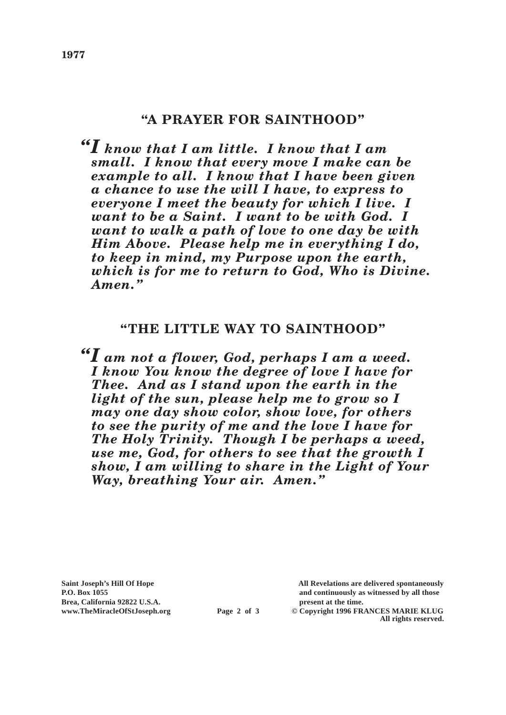# **"A PRAYER FOR SAINTHOOD"**

*"I know that I am little. I know that I am small. I know that every move I make can be example to all. I know that I have been given a chance to use the will I have, to express to everyone I meet the beauty for which I live. I want to be a Saint. I want to be with God. I want to walk a path of love to one day be with Him Above. Please help me in everything I do, to keep in mind, my Purpose upon the earth, which is for me to return to God, Who is Divine. Amen."*

## **"THE LITTLE WAY TO SAINTHOOD"**

*"I am not a flower, God, perhaps I am a weed. I know You know the degree of love I have for Thee. And as I stand upon the earth in the light of the sun, please help me to grow so I may one day show color, show love, for others to see the purity of me and the love I have for The Holy Trinity. Though I be perhaps a weed, use me, God, for others to see that the growth I show, I am willing to share in the Light of Your Way, breathing Your air. Amen."*

Brea, California 92822 U.S.A.<br>
www.TheMiracleOfStJoseph.org<br> **Page 2 of 3** © Copyright 1996 FR.

**Saint Joseph's Hill Of Hope All Revelations are delivered spontaneously P.O. Box 1055 and continuously as witnessed by all those** 

 $\odot$  Copyright 1996 FRANCES MARIE KLUG **All rights reserved.**